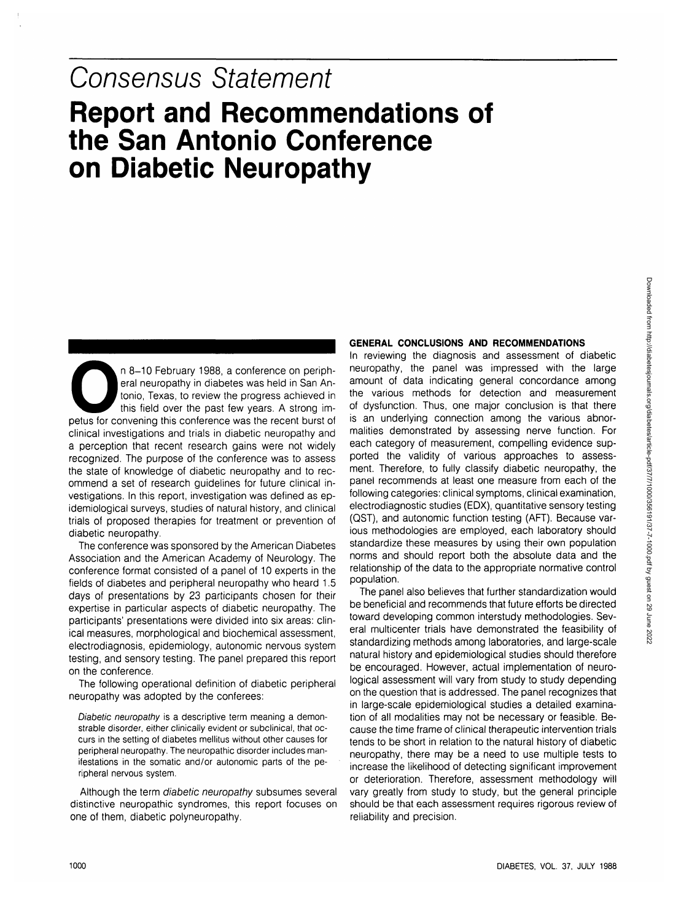# Consensus Statement **Report and Recommendations of the San Antonio Conference on Diabetic Neuropathy**

n 8-10 February 1988, a conference on periph-<br>eral neuropathy in diabetes was held in San Antonio, Texas, to review the progress achieved in<br>this field over the past few years. A strong im-<br>petus for convening this confere eral neuropathy in diabetes was held in San Antonio, Texas, to review the progress achieved in this field over the past few years. A strong imclinical investigations and trials in diabetic neuropathy and a perception that recent research gains were not widely recognized. The purpose of the conference was to assess the state of knowledge of diabetic neuropathy and to recommend a set of research guidelines for future clinical investigations. In this report, investigation was defined as epidemiological surveys, studies of natural history, and clinical trials of proposed therapies for treatment or prevention of diabetic neuropathy.

The conference was sponsored by the American Diabetes Association and the American Academy of Neurology. The conference format consisted of a panel of 10 experts in the fields of diabetes and peripheral neuropathy who heard 1.5 days of presentations by 23 participants chosen for their expertise in particular aspects of diabetic neuropathy. The participants' presentations were divided into six areas: clinical measures, morphological and biochemical assessment, electrodiagnosis, epidemiology, autonomic nervous system testing, and sensory testing. The panel prepared this report on the conference.

The following operational definition of diabetic peripheral neuropathy was adopted by the conferees:

Diabetic neuropathy is a descriptive term meaning a demonstrable disorder, either clinically evident or subclinical, that occurs in the setting of diabetes mellitus without other causes for peripheral neuropathy. The neuropathic disorder includes manifestations in the somatic and/or autonomic parts of the peripheral nervous system.

Although the term diabetic neuropathy subsumes several distinctive neuropathic syndromes, this report focuses on one of them, diabetic polyneuropathy.

# **GENERAL CONCLUSIONS AND RECOMMENDATIONS**

In reviewing the diagnosis and assessment of diabetic neuropathy, the panel was impressed with the large amount of data indicating general concordance among the various methods for detection and measurement of dysfunction. Thus, one major conclusion is that there is an underlying connection among the various abnormalities demonstrated by assessing nerve function. For each category of measurement, compelling evidence supported the validity of various approaches to assessment. Therefore, to fully classify diabetic neuropathy, the panel recommends at least one measure from each of the following categories: clinical symptoms, clinical examination, electrodiagnostic studies (EDX), quantitative sensory testing (QST), and autonomic function testing (AFT). Because various methodologies are employed, each laboratory should standardize these measures by using their own population norms and should report both the absolute data and the relationship of the data to the appropriate normative control population.

The panel also believes that further standardization would be beneficial and recommends that future efforts be directed toward developing common interstudy methodologies. Several multicenter trials have demonstrated the feasibility of standardizing methods among laboratories, and large-scale natural history and epidemiological studies should therefore be encouraged. However, actual implementation of neurological assessment will vary from study to study depending on the question that is addressed. The panel recognizes that in large-scale epidemiological studies a detailed examination of all modalities may not be necessary or feasible. Because the time frame of clinical therapeutic intervention trials tends to be short in relation to the natural history of diabetic neuropathy, there may be a need to use multiple tests to increase the likelihood of detecting significant improvement or deterioration. Therefore, assessment methodology will vary greatly from study to study, but the general principle should be that each assessment requires rigorous review of reliability and precision.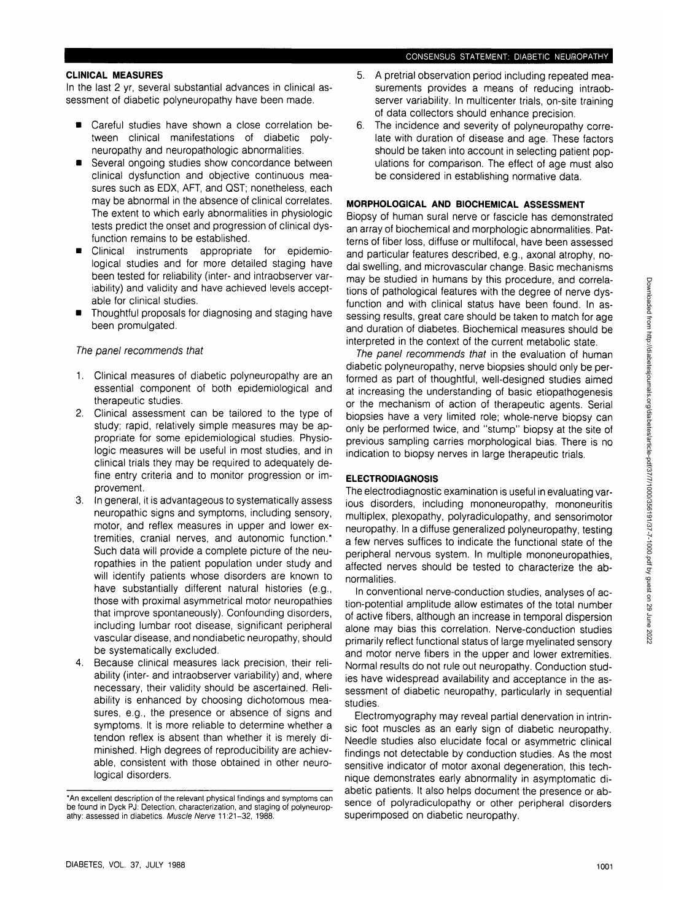# **CLINICAL MEASURES**

In the last 2 yr, several substantial advances in clinical assessment of diabetic polyneuropathy have been made.

- Careful studies have shown a close correlation between clinical manifestations of diabetic polyneuropathy and neuropathologic abnormalities.
- Several ongoing studies show concordance between clinical dysfunction and objective continuous measures such as EDX, AFT, and QST; nonetheless, each may be abnormal in the absence of clinical correlates. The extent to which early abnormalities in physiologic tests predict the onset and progression of clinical dysfunction remains to be established.
- **E** Clinical instruments appropriate for epidemiological studies and for more detailed staging have been tested for reliability (inter- and intraobserver variability) and validity and have achieved levels acceptable for clinical studies.
- Thoughtful proposals for diagnosing and staging have been promulgated.

# The panel recommends that

- 1. Clinical measures of diabetic polyneuropathy are an essential component of both epidemiological and therapeutic studies.
- 2. Clinical assessment can be tailored to the type of study; rapid, relatively simple measures may be appropriate for some epidemiological studies. Physiologic measures will be useful in most studies, and in clinical trials they may be required to adequately define entry criteria and to monitor progression or improvement.
- 3. In general, it is advantageous to systematically assess neuropathic signs and symptoms, including sensory, motor, and reflex measures in upper and lower extremities, cranial nerves, and autonomic function.\* Such data will provide a complete picture of the neuropathies in the patient population under study and will identify patients whose disorders are known to have substantially different natural histories (e.g., those with proximal asymmetrical motor neuropathies that improve spontaneously). Confounding disorders, including lumbar root disease, significant peripheral vascular disease, and nondiabetic neuropathy, should be systematically excluded.
- 4. Because clinical measures lack precision, their reliability (inter- and intraobserver variability) and, where necessary, their validity should be ascertained. Reliability is enhanced by choosing dichotomous measures, e.g., the presence or absence of signs and symptoms. It is more reliable to determine whether a tendon reflex is absent than whether it is merely diminished. High degrees of reproducibility are achievable, consistent with those obtained in other neurological disorders.
- 5. A pretrial observation period including repeated measurements provides a means of reducing intraobserver variability. In multicenter trials, on-site training of data collectors should enhance precision.
- 6. The incidence and severity of polyneuropathy correlate with duration of disease and age. These factors should be taken into account in selecting patient populations for comparison. The effect of age must also be considered in establishing normative data.

# **MORPHOLOGICAL AND BIOCHEMICAL ASSESSMENT**

Biopsy of human sural nerve or fascicle has demonstrated an array of biochemical and morphologic abnormalities. Patterns of fiber loss, diffuse or multifocal, have been assessed and particular features described, e.g., axonal atrophy, nodal swelling, and microvascular change. Basic mechanisms may be studied in humans by this procedure, and correlations of pathological features with the degree of nerve dysfunction and with clinical status have been found. In assessing results, great care should be taken to match for age and duration of diabetes. Biochemical measures should be interpreted in the context of the current metabolic state.

The panel recommends that in the evaluation of human diabetic polyneuropathy, nerve biopsies should only be performed as part of thoughtful, well-designed studies aimed at increasing the understanding of basic etiopathogenesis or the mechanism of action of therapeutic agents. Serial biopsies have a very limited role; whole-nerve biopsy can only be performed twice, and "stump" biopsy at the site of previous sampling carries morphological bias. There is no indication to biopsy nerves in large therapeutic trials.

# **ELECTRODIAGNOSIS**

The electrodiagnostic examination is useful in evaluating various disorders, including mononeuropathy, mononeuritis multiplex, plexopathy, polyradiculopathy, and sensorimotor neuropathy. In a diffuse generalized polyneuropathy, testing a few nerves suffices to indicate the functional state of the peripheral nervous system. In multiple mononeuropathies, affected nerves should be tested to characterize the abnormalities.

In conventional nerve-conduction studies, analyses of action-potential amplitude allow estimates of the total number of active fibers, although an increase in temporal dispersion alone may bias this correlation. Nerve-conduction studies primarily reflect functional status of large myelinated sensory and motor nerve fibers in the upper and lower extremities. Normal results do not rule out neuropathy. Conduction studies have widespread availability and acceptance in the assessment of diabetic neuropathy, particularly in sequential studies.

Electromyography may reveal partial denervation in intrinsic foot muscles as an early sign of diabetic neuropathy. Needle studies also elucidate focal or asymmetric clinical findings not detectable by conduction studies. As the most sensitive indicator of motor axonal degeneration, this technique demonstrates early abnormality in asymptomatic diabetic patients. It also helps document the presence or absence of polyradiculopathy or other peripheral disorders superimposed on diabetic neuropathy.

<sup>\*</sup>An excellent description of the relevant physical findings and symptoms can be found in Dyck PJ: Detection, characterization, and staging of polyneuropathy: assessed in diabetics. Muscle Nerve 11:21-32, 1988.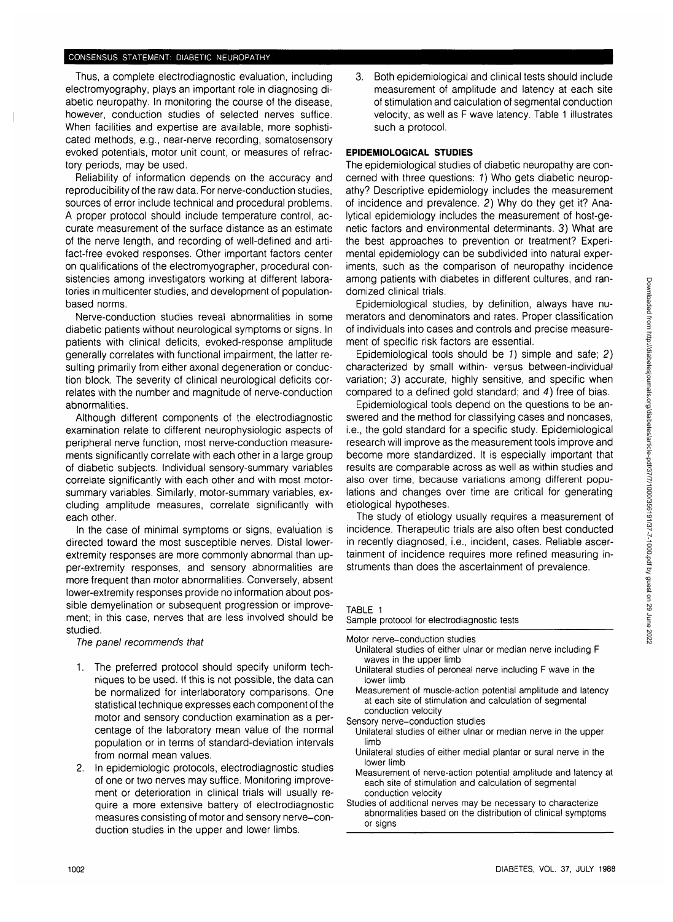Thus, a complete electrodiagnostic evaluation, including electromyography, plays an important role in diagnosing diabetic neuropathy. In monitoring the course of the disease, however, conduction studies of selected nerves suffice. When facilities and expertise are available, more sophisticated methods, e.g., near-nerve recording, somatosensory evoked potentials, motor unit count, or measures of refractory periods, may be used.

Reliability of information depends on the accuracy and reproducibility of the raw data. For nerve-conduction studies, sources of error include technical and procedural problems. A proper protocol should include temperature control, accurate measurement of the surface distance as an estimate of the nerve length, and recording of well-defined and artifact-free evoked responses. Other important factors center on qualifications of the electromyographer, procedural consistencies among investigators working at different laboratories in multicenter studies, and development of populationbased norms.

Nerve-conduction studies reveal abnormalities in some diabetic patients without neurological symptoms or signs. In patients with clinical deficits, evoked-response amplitude generally correlates with functional impairment, the latter resulting primarily from either axonal degeneration or conduction block. The severity of clinical neurological deficits correlates with the number and magnitude of nerve-conduction abnormalities.

Although different components of the electrodiagnostic examination relate to different neurophysiologic aspects of peripheral nerve function, most nerve-conduction measurements significantly correlate with each other in a large group of diabetic subjects. Individual sensory-summary variables correlate significantly with each other and with most motorsummary variables. Similarly, motor-summary variables, excluding amplitude measures, correlate significantly with each other.

In the case of minimal symptoms or signs, evaluation is directed toward the most susceptible nerves. Distal lowerextremity responses are more commonly abnormal than upper-extremity responses, and sensory abnormalities are more frequent than motor abnormalities. Conversely, absent lower-extremity responses provide no information about possible demyelination or subsequent progression or improvement; in this case, nerves that are less involved should be studied.

The panel recommends that

- 1. The preferred protocol should specify uniform techniques to be used. If this is not possible, the data can be normalized for interlaboratory comparisons. One statistical technique expresses each component of the motor and sensory conduction examination as a percentage of the laboratory mean value of the normal population or in terms of standard-deviation intervals from normal mean values.
- 2. In epidemiologic protocols, electrodiagnostic studies of one or two nerves may suffice. Monitoring improvement or deterioration in clinical trials will usually require a more extensive battery of electrodiagnostic measures consisting of motor and sensory nerve-conduction studies in the upper and lower limbs.

3. Both epidemiological and clinical tests should include measurement of amplitude and latency at each site of stimulation and calculation of segmental conduction velocity, as well as F wave latency. Table 1 illustrates such a protocol.

#### **EPIDEMIOLOGICAL STUDIES**

The epidemiological studies of diabetic neuropathy are concerned with three questions: 1) Who gets diabetic neuropathy? Descriptive epidemiology includes the measurement of incidence and prevalence. 2) Why do they get it? Analytical epidemiology includes the measurement of host-genetic factors and environmental determinants. 3) What are the best approaches to prevention or treatment? Experimental epidemiology can be subdivided into natural experiments, such as the comparison of neuropathy incidence among patients with diabetes in different cultures, and randomized clinical trials.

Epidemiological studies, by definition, always have numerators and denominators and rates. Proper classification of individuals into cases and controls and precise measurement of specific risk factors are essential.

Epidemiological tools should be 7) simple and safe; 2) characterized by small within- versus between-individual variation; 3) accurate, highly sensitive, and specific when compared to a defined gold standard; and 4) free of bias.

Epidemiological tools depend on the questions to be answered and the method for classifying cases and noncases, i.e., the gold standard for a specific study. Epidemiological research will improve as the measurement tools improve and become more standardized. It is especially important that results are comparable across as well as within studies and also over time, because variations among different populations and changes over time are critical for generating etiological hypotheses.

The study of etiology usually requires a measurement of incidence. Therapeutic trials are also often best conducted in recently diagnosed, i.e., incident, cases. Reliable ascertainment of incidence requires more refined measuring instruments than does the ascertainment of prevalence.

#### TABLE 1 Sample protocol for electrodiagnostic tests

Motor nerve-conduction studies

- Unilateral studies of either ulnar or median nerve including F waves in the upper limb
- Unilateral studies of peroneal nerve including F wave in the lower limb
- Measurement of muscle-action potential amplitude and latency at each site of stimulation and calculation of segmental conduction velocity
- Sensory nerve-conduction studies
- Unilateral studies of either ulnar or median nerve in the upper limb
- Unilateral studies of either medial plantar or sural nerve in the lower limb
- Measurement of nerve-action potential amplitude and latency at each site of stimulation and calculation of segmental conduction velocity
- Studies of additional nerves may be necessary to characterize abnormalities based on the distribution of clinical symptoms or signs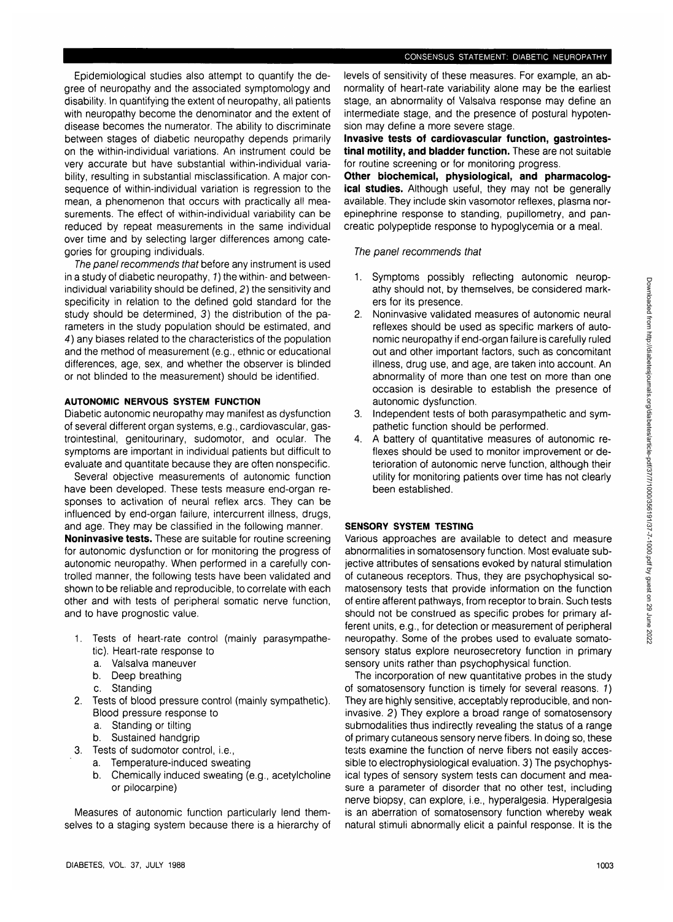Epidemiological studies also attempt to quantify the degree of neuropathy and the associated symptomology and disability. In quantifying the extent of neuropathy, all patients with neuropathy become the denominator and the extent of disease becomes the numerator. The ability to discriminate between stages of diabetic neuropathy depends primarily on the within-individual variations. An instrument could be very accurate but have substantial within-individual variability, resulting in substantial misclassification. A major consequence of within-individual variation is regression to the mean, a phenomenon that occurs with practically all measurements. The effect of within-individual variability can be reduced by repeat measurements in the same individual over time and by selecting larger differences among categories for grouping individuals.

The panel recommends that before any instrument is used in a study of diabetic neuropathy, 7) the within- and betweenindividual variability should be defined, 2) the sensitivity and specificity in relation to the defined gold standard for the study should be determined, 3) the distribution of the parameters in the study population should be estimated, and 4) any biases related to the characteristics of the population and the method of measurement (e.g., ethnic or educational differences, age, sex, and whether the observer is blinded or not blinded to the measurement) should be identified.

## **AUTONOMIC NERVOUS SYSTEM FUNCTION**

Diabetic autonomic neuropathy may manifest as dysfunction of several different organ systems, e.g., cardiovascular, gastrointestinal, genitourinary, sudomotor, and ocular. The symptoms are important in individual patients but difficult to evaluate and quantitate because they are often nonspecific.

Several objective measurements of autonomic function have been developed. These tests measure end-organ responses to activation of neural reflex arcs. They can be influenced by end-organ failure, intercurrent illness, drugs, and age. They may be classified in the following manner.

**Noninvasive tests.** These are suitable for routine screening for autonomic dysfunction or for monitoring the progress of autonomic neuropathy. When performed in a carefully controlled manner, the following tests have been validated and shown to be reliable and reproducible, to correlate with each other and with tests of peripheral somatic nerve function, and to have prognostic value.

- 1. Tests of heart-rate control (mainly parasympathetic). Heart-rate response to
	- a. Valsalva maneuver
	- b. Deep breathing
	- c. Standing
- 2. Tests of blood pressure control (mainly sympathetic). Blood pressure response to
	- a. Standing or tilting
	- b. Sustained handgrip
- 3. Tests of sudomotor control, i.e.,
	- a. Temperature-induced sweating
	- b. Chemically induced sweating (e.g., acetylcholine or pilocarpine)

Measures of autonomic function particularly lend themselves to a staging system because there is a hierarchy of levels of sensitivity of these measures. For example, an abnormality of heart-rate variability alone may be the earliest stage, an abnormality of Valsalva response may define an intermediate stage, and the presence of postural hypotension may define a more severe stage.

**Invasive tests of cardiovascular function, gastrointestinal motility, and bladder function.** These are not suitable for routine screening or for monitoring progress.

**Other biochemical, physiological, and pharmacological studies.** Although useful, they may not be generally available. They include skin vasomotor reflexes, plasma norepinephrine response to standing, pupillometry, and pancreatic polypeptide response to hypoglycemia or a meal.

## The panel recommends that

- 1. Symptoms possibly reflecting autonomic neuropathy should not, by themselves, be considered markers for its presence.
- 2. Noninvasive validated measures of autonomic neural reflexes should be used as specific markers of autonomic neuropathy if end-organ failure is carefully ruled out and other important factors, such as concomitant illness, drug use, and age, are taken into account. An abnormality of more than one test on more than one occasion is desirable to establish the presence of autonomic dysfunction.
- 3. Independent tests of both parasympathetic and sympathetic function should be performed.
- 4. A battery of quantitative measures of autonomic reflexes should be used to monitor improvement or deterioration of autonomic nerve function, although their utility for monitoring patients over time has not clearly been established.

## **SENSORY SYSTEM TESTING**

Various approaches are available to detect and measure abnormalities in somatosensory function. Most evaluate subjective attributes of sensations evoked by natural stimulation of cutaneous receptors. Thus, they are psychophysical somatosensory tests that provide information on the function of entire afferent pathways, from receptor to brain. Such tests should not be construed as specific probes for primary afferent units, e.g., for detection or measurement of peripheral neuropathy. Some of the probes used to evaluate somatosensory status explore neurosecretory function in primary sensory units rather than psychophysical function.

The incorporation of new quantitative probes in the study of somatosensory function is timely for several reasons. 1) They are highly sensitive, acceptably reproducible, and noninvasive. 2) They explore a broad range of somatosensory submodalities thus indirectly revealing the status of a range of primary cutaneous sensory nerve fibers. In doing so, these tests examine the function of nerve fibers not easily accessible to electrophysiological evaluation. 3) The psychophysical types of sensory system tests can document and measure a parameter of disorder that no other test, including nerve biopsy, can explore, i.e., hyperalgesia. Hyperalgesia is an aberration of somatosensory function whereby weak natural stimuli abnormally elicit a painful response. It is the